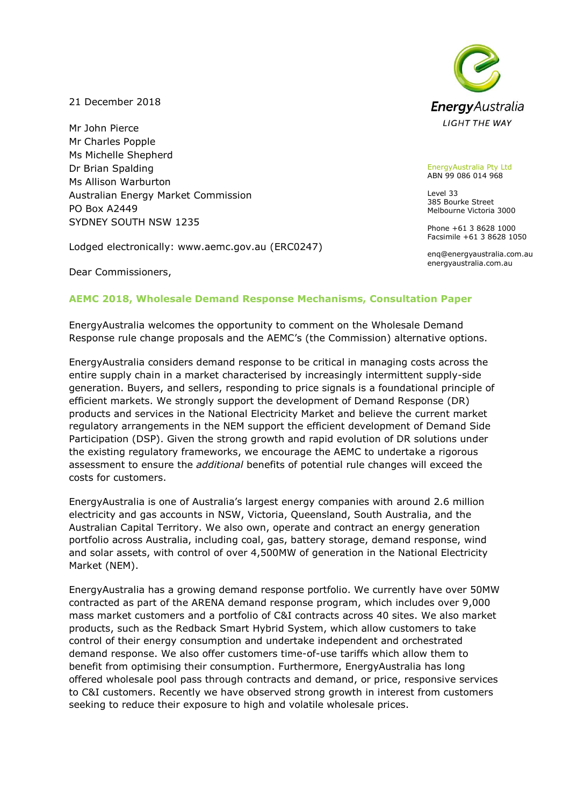21 December 2018

Mr John Pierce Mr Charles Popple Ms Michelle Shepherd Dr Brian Spalding Ms Allison Warburton Australian Energy Market Commission PO Box A2449 SYDNEY SOUTH NSW 1235

Lodged electronically: www.aemc.gov.au (ERC0247)

Dear Commissioners,



EnergyAustralia Pty Ltd ABN 99 086 014 968

Level 33 385 Bourke Street Melbourne Victoria 3000

Phone +61 3 8628 1000 Facsimile +61 3 8628 1050

enq@energyaustralia.com.au energyaustralia.com.au

# **AEMC 2018, Wholesale Demand Response Mechanisms, Consultation Paper**

EnergyAustralia welcomes the opportunity to comment on the Wholesale Demand Response rule change proposals and the AEMC's (the Commission) alternative options.

EnergyAustralia considers demand response to be critical in managing costs across the entire supply chain in a market characterised by increasingly intermittent supply-side generation. Buyers, and sellers, responding to price signals is a foundational principle of efficient markets. We strongly support the development of Demand Response (DR) products and services in the National Electricity Market and believe the current market regulatory arrangements in the NEM support the efficient development of Demand Side Participation (DSP). Given the strong growth and rapid evolution of DR solutions under the existing regulatory frameworks, we encourage the AEMC to undertake a rigorous assessment to ensure the *additional* benefits of potential rule changes will exceed the costs for customers.

EnergyAustralia is one of Australia's largest energy companies with around 2.6 million electricity and gas accounts in NSW, Victoria, Queensland, South Australia, and the Australian Capital Territory. We also own, operate and contract an energy generation portfolio across Australia, including coal, gas, battery storage, demand response, wind and solar assets, with control of over 4,500MW of generation in the National Electricity Market (NEM).

EnergyAustralia has a growing demand response portfolio. We currently have over 50MW contracted as part of the ARENA demand response program, which includes over 9,000 mass market customers and a portfolio of C&I contracts across 40 sites. We also market products, such as the Redback Smart Hybrid System, which allow customers to take control of their energy consumption and undertake independent and orchestrated demand response. We also offer customers time-of-use tariffs which allow them to benefit from optimising their consumption. Furthermore, EnergyAustralia has long offered wholesale pool pass through contracts and demand, or price, responsive services to C&I customers. Recently we have observed strong growth in interest from customers seeking to reduce their exposure to high and volatile wholesale prices.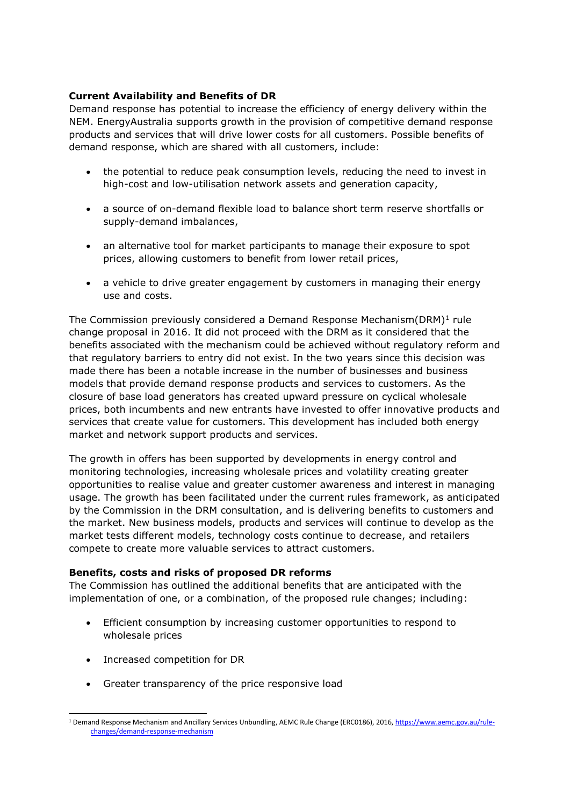## **Current Availability and Benefits of DR**

Demand response has potential to increase the efficiency of energy delivery within the NEM. EnergyAustralia supports growth in the provision of competitive demand response products and services that will drive lower costs for all customers. Possible benefits of demand response, which are shared with all customers, include:

- the potential to reduce peak consumption levels, reducing the need to invest in high-cost and low-utilisation network assets and generation capacity,
- a source of on-demand flexible load to balance short term reserve shortfalls or supply-demand imbalances,
- an alternative tool for market participants to manage their exposure to spot prices, allowing customers to benefit from lower retail prices,
- a vehicle to drive greater engagement by customers in managing their energy use and costs.

The Commission previously considered a Demand Response Mechanism(DRM)<sup>1</sup> rule change proposal in 2016. It did not proceed with the DRM as it considered that the benefits associated with the mechanism could be achieved without regulatory reform and that regulatory barriers to entry did not exist. In the two years since this decision was made there has been a notable increase in the number of businesses and business models that provide demand response products and services to customers. As the closure of base load generators has created upward pressure on cyclical wholesale prices, both incumbents and new entrants have invested to offer innovative products and services that create value for customers. This development has included both energy market and network support products and services.

The growth in offers has been supported by developments in energy control and monitoring technologies, increasing wholesale prices and volatility creating greater opportunities to realise value and greater customer awareness and interest in managing usage. The growth has been facilitated under the current rules framework, as anticipated by the Commission in the DRM consultation, and is delivering benefits to customers and the market. New business models, products and services will continue to develop as the market tests different models, technology costs continue to decrease, and retailers compete to create more valuable services to attract customers.

#### **Benefits, costs and risks of proposed DR reforms**

The Commission has outlined the additional benefits that are anticipated with the implementation of one, or a combination, of the proposed rule changes; including:

- Efficient consumption by increasing customer opportunities to respond to wholesale prices
- Increased competition for DR

-

• Greater transparency of the price responsive load

<sup>1</sup> Demand Response Mechanism and Ancillary Services Unbundling, AEMC Rule Change (ERC0186), 2016[, https://www.aemc.gov.au/rule](https://www.aemc.gov.au/rule-changes/demand-response-mechanism)[changes/demand-response-mechanism](https://www.aemc.gov.au/rule-changes/demand-response-mechanism)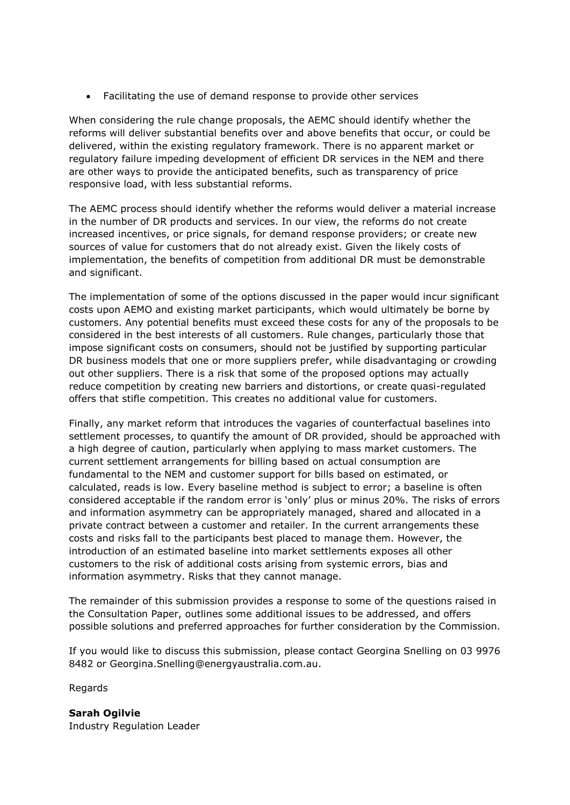• Facilitating the use of demand response to provide other services

When considering the rule change proposals, the AEMC should identify whether the reforms will deliver substantial benefits over and above benefits that occur, or could be delivered, within the existing regulatory framework. There is no apparent market or regulatory failure impeding development of efficient DR services in the NEM and there are other ways to provide the anticipated benefits, such as transparency of price responsive load, with less substantial reforms.

The AEMC process should identify whether the reforms would deliver a material increase in the number of DR products and services. In our view, the reforms do not create increased incentives, or price signals, for demand response providers; or create new sources of value for customers that do not already exist. Given the likely costs of implementation, the benefits of competition from additional DR must be demonstrable and significant.

The implementation of some of the options discussed in the paper would incur significant costs upon AEMO and existing market participants, which would ultimately be borne by customers. Any potential benefits must exceed these costs for any of the proposals to be considered in the best interests of all customers. Rule changes, particularly those that impose significant costs on consumers, should not be justified by supporting particular DR business models that one or more suppliers prefer, while disadvantaging or crowding out other suppliers. There is a risk that some of the proposed options may actually reduce competition by creating new barriers and distortions, or create quasi-regulated offers that stifle competition. This creates no additional value for customers.

Finally, any market reform that introduces the vagaries of counterfactual baselines into settlement processes, to quantify the amount of DR provided, should be approached with a high degree of caution, particularly when applying to mass market customers. The current settlement arrangements for billing based on actual consumption are fundamental to the NEM and customer support for bills based on estimated, or calculated, reads is low. Every baseline method is subject to error; a baseline is often considered acceptable if the random error is 'only' plus or minus 20%. The risks of errors and information asymmetry can be appropriately managed, shared and allocated in a private contract between a customer and retailer. In the current arrangements these costs and risks fall to the participants best placed to manage them. However, the introduction of an estimated baseline into market settlements exposes all other customers to the risk of additional costs arising from systemic errors, bias and information asymmetry. Risks that they cannot manage.

The remainder of this submission provides a response to some of the questions raised in the Consultation Paper, outlines some additional issues to be addressed, and offers possible solutions and preferred approaches for further consideration by the Commission.

If you would like to discuss this submission, please contact Georgina Snelling on 03 9976 8482 or Georgina.Snelling@energyaustralia.com.au.

Regards

**Sarah Ogilvie** Industry Regulation Leader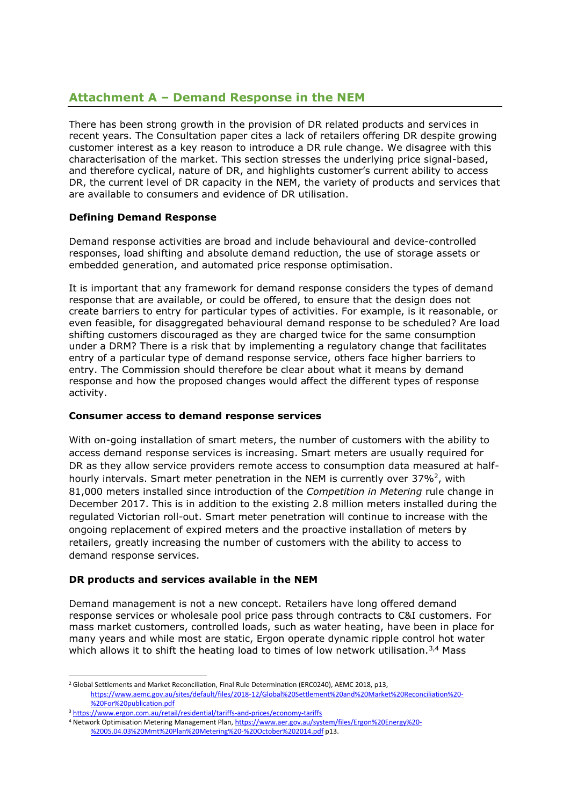# **Attachment A – Demand Response in the NEM**

There has been strong growth in the provision of DR related products and services in recent years. The Consultation paper cites a lack of retailers offering DR despite growing customer interest as a key reason to introduce a DR rule change. We disagree with this characterisation of the market. This section stresses the underlying price signal-based, and therefore cyclical, nature of DR, and highlights customer's current ability to access DR, the current level of DR capacity in the NEM, the variety of products and services that are available to consumers and evidence of DR utilisation.

# **Defining Demand Response**

Demand response activities are broad and include behavioural and device-controlled responses, load shifting and absolute demand reduction, the use of storage assets or embedded generation, and automated price response optimisation.

It is important that any framework for demand response considers the types of demand response that are available, or could be offered, to ensure that the design does not create barriers to entry for particular types of activities. For example, is it reasonable, or even feasible, for disaggregated behavioural demand response to be scheduled? Are load shifting customers discouraged as they are charged twice for the same consumption under a DRM? There is a risk that by implementing a regulatory change that facilitates entry of a particular type of demand response service, others face higher barriers to entry. The Commission should therefore be clear about what it means by demand response and how the proposed changes would affect the different types of response activity.

#### **Consumer access to demand response services**

With on-going installation of smart meters, the number of customers with the ability to access demand response services is increasing. Smart meters are usually required for DR as they allow service providers remote access to consumption data measured at halfhourly intervals. Smart meter penetration in the NEM is currently over 37%<sup>2</sup>, with 81,000 meters installed since introduction of the *Competition in Metering* rule change in December 2017. This is in addition to the existing 2.8 million meters installed during the regulated Victorian roll-out. Smart meter penetration will continue to increase with the ongoing replacement of expired meters and the proactive installation of meters by retailers, greatly increasing the number of customers with the ability to access to demand response services.

# **DR products and services available in the NEM**

Demand management is not a new concept. Retailers have long offered demand response services or wholesale pool price pass through contracts to C&I customers. For mass market customers, controlled loads, such as water heating, have been in place for many years and while most are static, Ergon operate dynamic ripple control hot water which allows it to shift the heating load to times of low network utilisation.<sup>3,4</sup> Mass

<sup>&</sup>lt;sup>2</sup> Global Settlements and Market Reconciliation, Final Rule Determination (ERC0240), AEMC 2018, p13, [https://www.aemc.gov.au/sites/default/files/2018-12/Global%20Settlement%20and%20Market%20Reconciliation%20-](https://www.aemc.gov.au/sites/default/files/2018-12/Global%20Settlement%20and%20Market%20Reconciliation%20-%20For%20publication.pdf) [%20For%20publication.pdf](https://www.aemc.gov.au/sites/default/files/2018-12/Global%20Settlement%20and%20Market%20Reconciliation%20-%20For%20publication.pdf)

<sup>3</sup> <https://www.ergon.com.au/retail/residential/tariffs-and-prices/economy-tariffs>

<sup>4</sup> Network Optimisation Metering Management Plan[, https://www.aer.gov.au/system/files/Ergon%20Energy%20-](https://www.aer.gov.au/system/files/Ergon%20Energy%20-%2005.04.03%20Mmt%20Plan%20Metering%20-%20October%202014.pdf) [%2005.04.03%20Mmt%20Plan%20Metering%20-%20October%202014.pdf](https://www.aer.gov.au/system/files/Ergon%20Energy%20-%2005.04.03%20Mmt%20Plan%20Metering%20-%20October%202014.pdf) p13.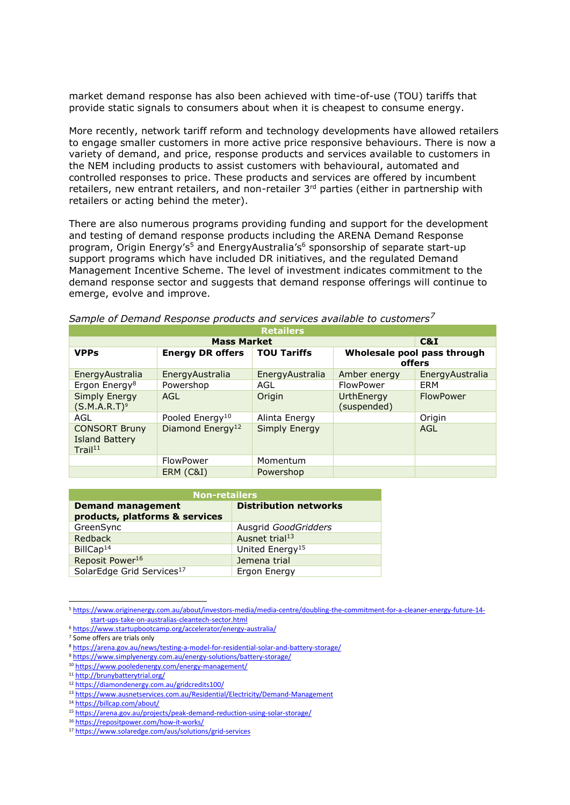market demand response has also been achieved with time-of-use (TOU) tariffs that provide static signals to consumers about when it is cheapest to consume energy.

More recently, network tariff reform and technology developments have allowed retailers to engage smaller customers in more active price responsive behaviours. There is now a variety of demand, and price, response products and services available to customers in the NEM including products to assist customers with behavioural, automated and controlled responses to price. These products and services are offered by incumbent retailers, new entrant retailers, and non-retailer 3<sup>rd</sup> parties (either in partnership with retailers or acting behind the meter).

There are also numerous programs providing funding and support for the development and testing of demand response products including the ARENA Demand Response program, Origin Energy's<sup>5</sup> and EnergyAustralia's<sup>6</sup> sponsorship of separate start-up support programs which have included DR initiatives, and the regulated Demand Management Incentive Scheme. The level of investment indicates commitment to the demand response sector and suggests that demand response offerings will continue to emerge, evolve and improve.

| <b>Retailers</b>                                                     |                              |                    |                                       |                  |  |
|----------------------------------------------------------------------|------------------------------|--------------------|---------------------------------------|------------------|--|
|                                                                      | <b>Mass Market</b>           |                    | C&I                                   |                  |  |
| <b>VPPs</b>                                                          | <b>Energy DR offers</b>      | <b>TOU Tariffs</b> | Wholesale pool pass through<br>offers |                  |  |
| EnergyAustralia                                                      | EnergyAustralia              | EnergyAustralia    | Amber energy                          | EnergyAustralia  |  |
| Ergon Energy <sup>8</sup>                                            | Powershop                    | AGL                | FlowPower                             | ERM              |  |
| <b>Simply Energy</b><br>(S.M.A.R.T) <sup>9</sup>                     | AGL                          | Origin             | UrthEnergy<br>(suspended)             | <b>FlowPower</b> |  |
| AGL                                                                  | Pooled Energy <sup>10</sup>  | Alinta Energy      |                                       | Origin           |  |
| <b>CONSORT Bruny</b><br><b>Island Battery</b><br>Trail <sup>11</sup> | Diamond Energy <sup>12</sup> | Simply Energy      |                                       | AGL              |  |
|                                                                      | FlowPower                    | Momentum           |                                       |                  |  |
|                                                                      | ERM (C&I)                    | Powershop          |                                       |                  |  |

*Sample of Demand Response products and services available to customers<sup>7</sup>*

| <b>Non-retailers</b>                  |                              |  |  |  |
|---------------------------------------|------------------------------|--|--|--|
| <b>Demand management</b>              | <b>Distribution networks</b> |  |  |  |
| products, platforms & services        |                              |  |  |  |
| GreenSync                             | Ausgrid GoodGridders         |  |  |  |
| Redback                               | Ausnet trial <sup>13</sup>   |  |  |  |
| BillCap $14$                          | United Energy <sup>15</sup>  |  |  |  |
| Reposit Power <sup>16</sup>           | Jemena trial                 |  |  |  |
| SolarEdge Grid Services <sup>17</sup> | Ergon Energy                 |  |  |  |

<sup>5</sup> [https://www.originenergy.com.au/about/investors-media/media-centre/doubling-the-commitment-for-a-cleaner-energy-future-14](https://www.originenergy.com.au/about/investors-media/media-centre/doubling-the-commitment-for-a-cleaner-energy-future-14-start-ups-take-on-australias-cleantech-sector.html) [start-ups-take-on-australias-cleantech-sector.html](https://www.originenergy.com.au/about/investors-media/media-centre/doubling-the-commitment-for-a-cleaner-energy-future-14-start-ups-take-on-australias-cleantech-sector.html)

<sup>6</sup> <https://www.startupbootcamp.org/accelerator/energy-australia/>

<sup>7</sup> Some offers are trials only

<sup>8</sup> <https://arena.gov.au/news/testing-a-model-for-residential-solar-and-battery-storage/>

<sup>9</sup> <https://www.simplyenergy.com.au/energy-solutions/battery-storage/>

<sup>10</sup> <https://www.pooledenergy.com/energy-management/>

<sup>11</sup> <http://brunybatterytrial.org/>

<sup>12</sup> <https://diamondenergy.com.au/gridcredits100/>

<sup>13</sup> <https://www.ausnetservices.com.au/Residential/Electricity/Demand-Management>

<sup>14</sup> <https://billcap.com/about/>

<sup>15</sup> <https://arena.gov.au/projects/peak-demand-reduction-using-solar-storage/>

<sup>16</sup> <https://repositpower.com/how-it-works/>

<sup>17</sup> <https://www.solaredge.com/aus/solutions/grid-services>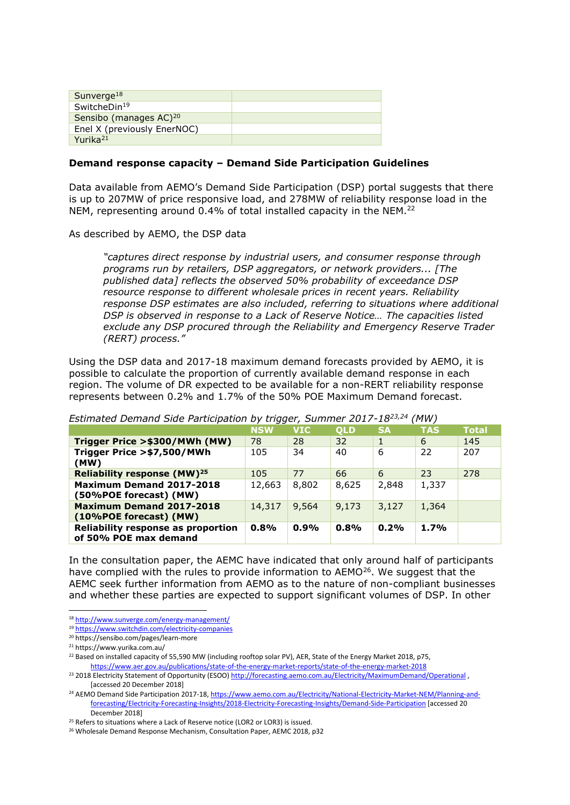| Sunverge <sup>18</sup>             |  |
|------------------------------------|--|
| SwitcheDin <sup>19</sup>           |  |
| Sensibo (manages AC) <sup>20</sup> |  |
| Enel X (previously EnerNOC)        |  |
| Yurika <sup>21</sup>               |  |

#### **Demand response capacity – Demand Side Participation Guidelines**

Data available from AEMO's Demand Side Participation (DSP) portal suggests that there is up to 207MW of price responsive load, and 278MW of reliability response load in the NEM, representing around 0.4% of total installed capacity in the NEM.<sup>22</sup>

As described by AEMO, the DSP data

*"captures direct response by industrial users, and consumer response through programs run by retailers, DSP aggregators, or network providers... [The published data] reflects the observed 50% probability of exceedance DSP resource response to different wholesale prices in recent years. Reliability response DSP estimates are also included, referring to situations where additional DSP is observed in response to a Lack of Reserve Notice… The capacities listed exclude any DSP procured through the Reliability and Emergency Reserve Trader (RERT) process."* 

Using the DSP data and 2017-18 maximum demand forecasts provided by AEMO, it is possible to calculate the proportion of currently available demand response in each region. The volume of DR expected to be available for a non-RERT reliability response represents between 0.2% and 1.7% of the 50% POE Maximum Demand forecast.

|                                                             | <b>NSW</b> | <b>VIC</b> | <b>OLD</b> | <b>SA</b> | <b>TAS</b> | <b>Total</b> |
|-------------------------------------------------------------|------------|------------|------------|-----------|------------|--------------|
| Trigger Price >\$300/MWh (MW)                               | 78         | 28         | 32         |           | 6          | 145          |
| Trigger Price >\$7,500/MWh<br>(MW)                          | 105        | 34         | 40         | 6         | 22         | 207          |
| Reliability response (MW) <sup>25</sup>                     | 105        | 77         | 66         | 6         | 23         | 278          |
| <b>Maximum Demand 2017-2018</b><br>(50%POE forecast) (MW)   | 12,663     | 8,802      | 8,625      | 2,848     | 1,337      |              |
| <b>Maximum Demand 2017-2018</b><br>(10%POE forecast) (MW)   | 14,317     | 9,564      | 9,173      | 3,127     | 1,364      |              |
| Reliability response as proportion<br>of 50% POE max demand | 0.8%       | 0.9%       | 0.8%       | 0.2%      | 1.7%       |              |

*Estimated Demand Side Participation by trigger, Summer 2017-1823,24 (MW)*

In the consultation paper, the AEMC have indicated that only around half of participants have complied with the rules to provide information to  $AEMO^{26}$ . We suggest that the AEMC seek further information from AEMO as to the nature of non-compliant businesses and whether these parties are expected to support significant volumes of DSP. In other

<sup>-</sup><sup>18</sup> <http://www.sunverge.com/energy-management/>

<sup>19</sup> <https://www.switchdin.com/electricity-companies>

<sup>20</sup> https://sensibo.com/pages/learn-more

<sup>21</sup> https://www.yurika.com.au/

<sup>&</sup>lt;sup>22</sup> Based on installed capacity of 55,590 MW (including rooftop solar PV), AER, State of the Energy Market 2018, p75, <https://www.aer.gov.au/publications/state-of-the-energy-market-reports/state-of-the-energy-market-2018>

<sup>&</sup>lt;sup>23</sup> 2018 Electricity Statement of Opportunity (ESOO[\) http://forecasting.aemo.com.au/Electricity/MaximumDemand/Operational](http://forecasting.aemo.com.au/Electricity/MaximumDemand/Operational), [accessed 20 December 2018]

<sup>&</sup>lt;sup>24</sup> AEMO Demand Side Participation 2017-18, [https://www.aemo.com.au/Electricity/National-Electricity-Market-NEM/Planning-and](https://www.aemo.com.au/Electricity/National-Electricity-Market-NEM/Planning-and-forecasting/Electricity-Forecasting-Insights/2018-Electricity-Forecasting-Insights/Demand-Side-Participation)[forecasting/Electricity-Forecasting-Insights/2018-Electricity-Forecasting-Insights/Demand-Side-Participation](https://www.aemo.com.au/Electricity/National-Electricity-Market-NEM/Planning-and-forecasting/Electricity-Forecasting-Insights/2018-Electricity-Forecasting-Insights/Demand-Side-Participation) [accessed 20 December 2018]

<sup>&</sup>lt;sup>25</sup> Refers to situations where a Lack of Reserve notice (LOR2 or LOR3) is issued.

<sup>&</sup>lt;sup>26</sup> Wholesale Demand Response Mechanism, Consultation Paper, AEMC 2018, p32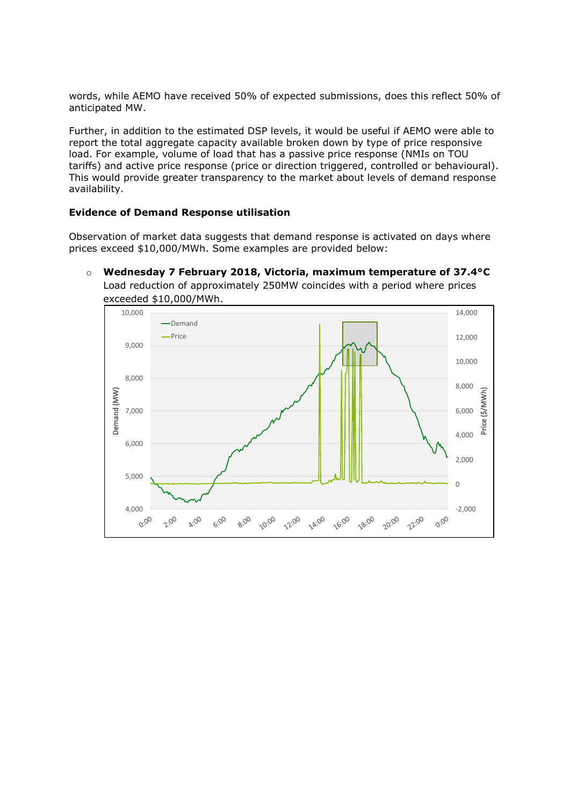words, while AEMO have received 50% of expected submissions, does this reflect 50% of anticipated MW.

Further, in addition to the estimated DSP levels, it would be useful if AEMO were able to report the total aggregate capacity available broken down by type of price responsive load. For example, volume of load that has a passive price response (NMIs on TOU tariffs) and active price response (price or direction triggered, controlled or behavioural). This would provide greater transparency to the market about levels of demand response availability.

#### **Evidence of Demand Response utilisation**

Observation of market data suggests that demand response is activated on days where prices exceed \$10,000/MWh. Some examples are provided below:

o **Wednesday 7 February 2018, Victoria, maximum temperature of 37.4°C** Load reduction of approximately 250MW coincides with a period where prices exceeded \$10,000/MWh.

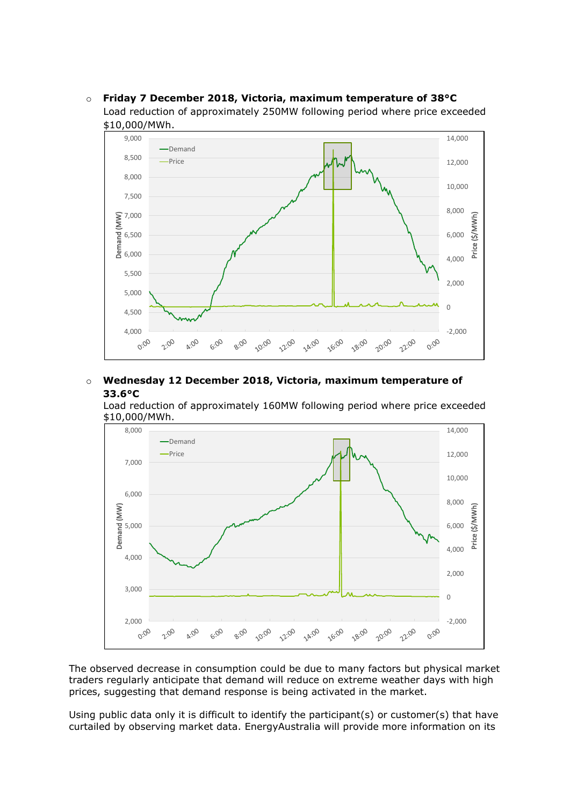

o **Friday 7 December 2018, Victoria, maximum temperature of 38°C** Load reduction of approximately 250MW following period where price exceeded

# o **Wednesday 12 December 2018, Victoria, maximum temperature of 33.6°C**

Load reduction of approximately 160MW following period where price exceeded \$10,000/MWh.



The observed decrease in consumption could be due to many factors but physical market traders regularly anticipate that demand will reduce on extreme weather days with high prices, suggesting that demand response is being activated in the market.

Using public data only it is difficult to identify the participant(s) or customer(s) that have curtailed by observing market data. EnergyAustralia will provide more information on its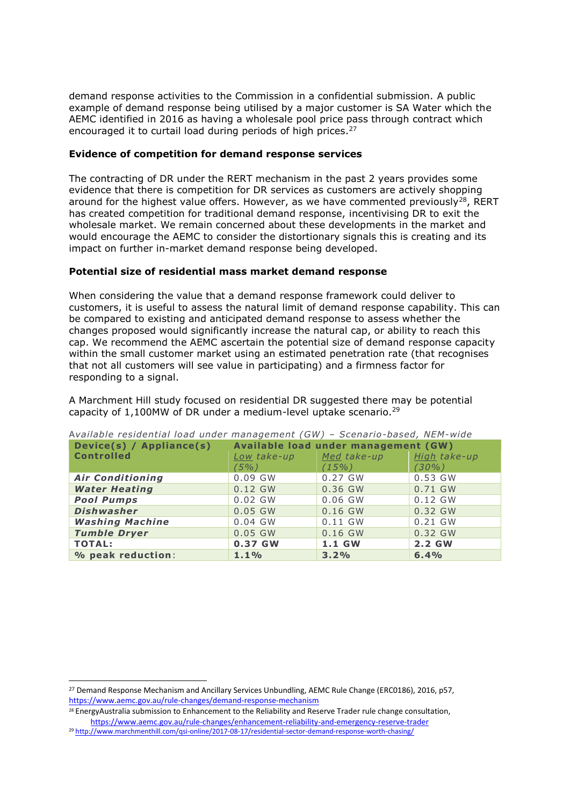demand response activities to the Commission in a confidential submission. A public example of demand response being utilised by a major customer is SA Water which the AEMC identified in 2016 as having a wholesale pool price pass through contract which encouraged it to curtail load during periods of high prices.<sup>27</sup>

#### **Evidence of competition for demand response services**

The contracting of DR under the RERT mechanism in the past 2 years provides some evidence that there is competition for DR services as customers are actively shopping around for the highest value offers. However, as we have commented previously<sup>28</sup>, RERT has created competition for traditional demand response, incentivising DR to exit the wholesale market. We remain concerned about these developments in the market and would encourage the AEMC to consider the distortionary signals this is creating and its impact on further in-market demand response being developed.

### **Potential size of residential mass market demand response**

When considering the value that a demand response framework could deliver to customers, it is useful to assess the natural limit of demand response capability. This can be compared to existing and anticipated demand response to assess whether the changes proposed would significantly increase the natural cap, or ability to reach this cap. We recommend the AEMC ascertain the potential size of demand response capacity within the small customer market using an estimated penetration rate (that recognises that not all customers will see value in participating) and a firmness factor for responding to a signal.

A Marchment Hill study focused on residential DR suggested there may be potential capacity of 1,100MW of DR under a medium-level uptake scenario.<sup>29</sup>

| Device(s) / Appliance(s) | Available Tesiuelitiai Ivau uliuel Tilallagellielit (GW) – Scellaffo-baseu, NEM-Wiue<br>Available load under management (GW) |             |              |  |
|--------------------------|------------------------------------------------------------------------------------------------------------------------------|-------------|--------------|--|
| <b>Controlled</b>        | Low take-up                                                                                                                  | Med take-up | High take-up |  |
|                          | $(5\%)$                                                                                                                      | $(15\%)$    | $(30\%)$     |  |
| <b>Air Conditioning</b>  | $0.09$ GW                                                                                                                    | 0.27 GW     | 0.53 GW      |  |
| <b>Water Heating</b>     | $0.12$ GW                                                                                                                    | 0.36 GW     | 0.71 GW      |  |
| <b>Pool Pumps</b>        | $0.02$ GW                                                                                                                    | $0.06$ GW   | $0.12$ GW    |  |
| <b>Dishwasher</b>        | $0.05$ GW                                                                                                                    | $0.16$ GW   | 0.32 GW      |  |
| <b>Washing Machine</b>   | $0.04$ GW                                                                                                                    | $0.11$ GW   | 0.21 GW      |  |
| <b>Tumble Dryer</b>      | $0.05$ GW                                                                                                                    | $0.16$ GW   | 0.32 GW      |  |
| <b>TOTAL:</b>            | 0.37 GW                                                                                                                      | 1.1 GW      | 2.2 GW       |  |
| % peak reduction:        | 1.1%                                                                                                                         | 3.2%        | 6.4%         |  |

A*vailable residential load under management (GW) – Scenario-based , NEM-wide*

<sup>&</sup>lt;sup>27</sup> Demand Response Mechanism and Ancillary Services Unbundling, AEMC Rule Change (ERC0186), 2016, p57, <https://www.aemc.gov.au/rule-changes/demand-response-mechanism>

<sup>28</sup> EnergyAustralia submission to Enhancement to the Reliability and Reserve Trader rule change consultation, <https://www.aemc.gov.au/rule-changes/enhancement-reliability-and-emergency-reserve-trader>

<sup>29</sup> <http://www.marchmenthill.com/qsi-online/2017-08-17/residential-sector-demand-response-worth-chasing/>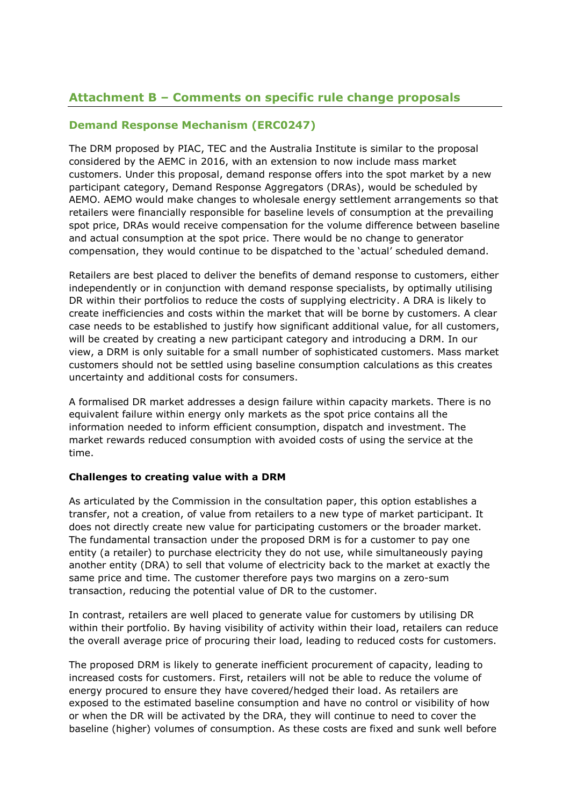# **Attachment B – Comments on specific rule change proposals**

# **Demand Response Mechanism (ERC0247)**

The DRM proposed by PIAC, TEC and the Australia Institute is similar to the proposal considered by the AEMC in 2016, with an extension to now include mass market customers. Under this proposal, demand response offers into the spot market by a new participant category, Demand Response Aggregators (DRAs), would be scheduled by AEMO. AEMO would make changes to wholesale energy settlement arrangements so that retailers were financially responsible for baseline levels of consumption at the prevailing spot price, DRAs would receive compensation for the volume difference between baseline and actual consumption at the spot price. There would be no change to generator compensation, they would continue to be dispatched to the 'actual' scheduled demand.

Retailers are best placed to deliver the benefits of demand response to customers, either independently or in conjunction with demand response specialists, by optimally utilising DR within their portfolios to reduce the costs of supplying electricity. A DRA is likely to create inefficiencies and costs within the market that will be borne by customers. A clear case needs to be established to justify how significant additional value, for all customers, will be created by creating a new participant category and introducing a DRM. In our view, a DRM is only suitable for a small number of sophisticated customers. Mass market customers should not be settled using baseline consumption calculations as this creates uncertainty and additional costs for consumers.

A formalised DR market addresses a design failure within capacity markets. There is no equivalent failure within energy only markets as the spot price contains all the information needed to inform efficient consumption, dispatch and investment. The market rewards reduced consumption with avoided costs of using the service at the time.

# **Challenges to creating value with a DRM**

As articulated by the Commission in the consultation paper, this option establishes a transfer, not a creation, of value from retailers to a new type of market participant. It does not directly create new value for participating customers or the broader market. The fundamental transaction under the proposed DRM is for a customer to pay one entity (a retailer) to purchase electricity they do not use, while simultaneously paying another entity (DRA) to sell that volume of electricity back to the market at exactly the same price and time. The customer therefore pays two margins on a zero-sum transaction, reducing the potential value of DR to the customer.

In contrast, retailers are well placed to generate value for customers by utilising DR within their portfolio. By having visibility of activity within their load, retailers can reduce the overall average price of procuring their load, leading to reduced costs for customers.

The proposed DRM is likely to generate inefficient procurement of capacity, leading to increased costs for customers. First, retailers will not be able to reduce the volume of energy procured to ensure they have covered/hedged their load. As retailers are exposed to the estimated baseline consumption and have no control or visibility of how or when the DR will be activated by the DRA, they will continue to need to cover the baseline (higher) volumes of consumption. As these costs are fixed and sunk well before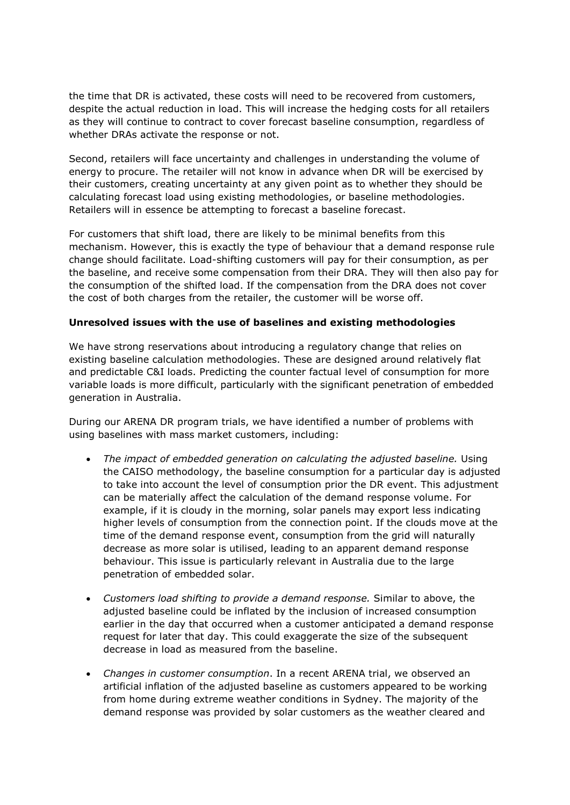the time that DR is activated, these costs will need to be recovered from customers, despite the actual reduction in load. This will increase the hedging costs for all retailers as they will continue to contract to cover forecast baseline consumption, regardless of whether DRAs activate the response or not.

Second, retailers will face uncertainty and challenges in understanding the volume of energy to procure. The retailer will not know in advance when DR will be exercised by their customers, creating uncertainty at any given point as to whether they should be calculating forecast load using existing methodologies, or baseline methodologies. Retailers will in essence be attempting to forecast a baseline forecast.

For customers that shift load, there are likely to be minimal benefits from this mechanism. However, this is exactly the type of behaviour that a demand response rule change should facilitate. Load-shifting customers will pay for their consumption, as per the baseline, and receive some compensation from their DRA. They will then also pay for the consumption of the shifted load. If the compensation from the DRA does not cover the cost of both charges from the retailer, the customer will be worse off.

### **Unresolved issues with the use of baselines and existing methodologies**

We have strong reservations about introducing a regulatory change that relies on existing baseline calculation methodologies. These are designed around relatively flat and predictable C&I loads. Predicting the counter factual level of consumption for more variable loads is more difficult, particularly with the significant penetration of embedded generation in Australia.

During our ARENA DR program trials, we have identified a number of problems with using baselines with mass market customers, including:

- *The impact of embedded generation on calculating the adjusted baseline.* Using the CAISO methodology, the baseline consumption for a particular day is adjusted to take into account the level of consumption prior the DR event. This adjustment can be materially affect the calculation of the demand response volume. For example, if it is cloudy in the morning, solar panels may export less indicating higher levels of consumption from the connection point. If the clouds move at the time of the demand response event, consumption from the grid will naturally decrease as more solar is utilised, leading to an apparent demand response behaviour. This issue is particularly relevant in Australia due to the large penetration of embedded solar.
- *Customers load shifting to provide a demand response.* Similar to above, the adjusted baseline could be inflated by the inclusion of increased consumption earlier in the day that occurred when a customer anticipated a demand response request for later that day. This could exaggerate the size of the subsequent decrease in load as measured from the baseline.
- *Changes in customer consumption*. In a recent ARENA trial, we observed an artificial inflation of the adjusted baseline as customers appeared to be working from home during extreme weather conditions in Sydney. The majority of the demand response was provided by solar customers as the weather cleared and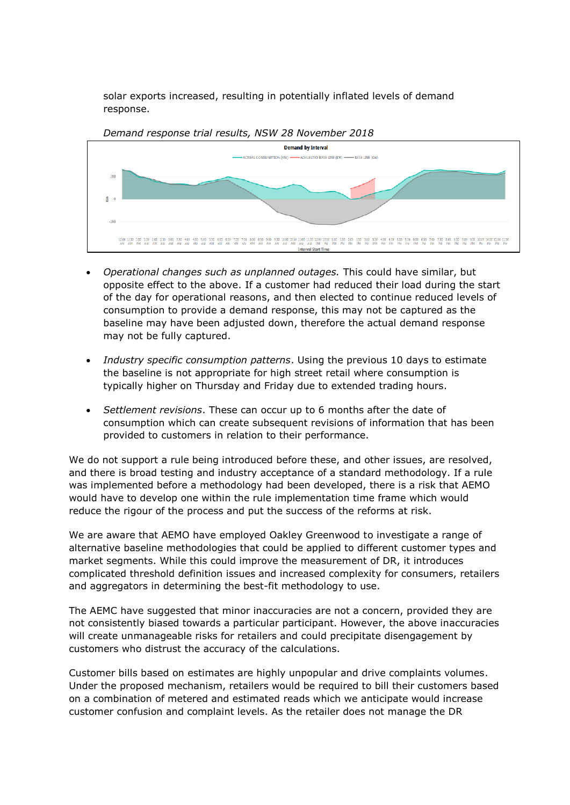solar exports increased, resulting in potentially inflated levels of demand response.



- *Operational changes such as unplanned outages.* This could have similar, but opposite effect to the above. If a customer had reduced their load during the start of the day for operational reasons, and then elected to continue reduced levels of consumption to provide a demand response, this may not be captured as the baseline may have been adjusted down, therefore the actual demand response
- *Industry specific consumption patterns*. Using the previous 10 days to estimate the baseline is not appropriate for high street retail where consumption is typically higher on Thursday and Friday due to extended trading hours.

may not be fully captured.

• *Settlement revisions*. These can occur up to 6 months after the date of consumption which can create subsequent revisions of information that has been provided to customers in relation to their performance.

We do not support a rule being introduced before these, and other issues, are resolved, and there is broad testing and industry acceptance of a standard methodology. If a rule was implemented before a methodology had been developed, there is a risk that AEMO would have to develop one within the rule implementation time frame which would reduce the rigour of the process and put the success of the reforms at risk.

We are aware that AEMO have employed Oakley Greenwood to investigate a range of alternative baseline methodologies that could be applied to different customer types and market segments. While this could improve the measurement of DR, it introduces complicated threshold definition issues and increased complexity for consumers, retailers and aggregators in determining the best-fit methodology to use.

The AEMC have suggested that minor inaccuracies are not a concern, provided they are not consistently biased towards a particular participant. However, the above inaccuracies will create unmanageable risks for retailers and could precipitate disengagement by customers who distrust the accuracy of the calculations.

Customer bills based on estimates are highly unpopular and drive complaints volumes. Under the proposed mechanism, retailers would be required to bill their customers based on a combination of metered and estimated reads which we anticipate would increase customer confusion and complaint levels. As the retailer does not manage the DR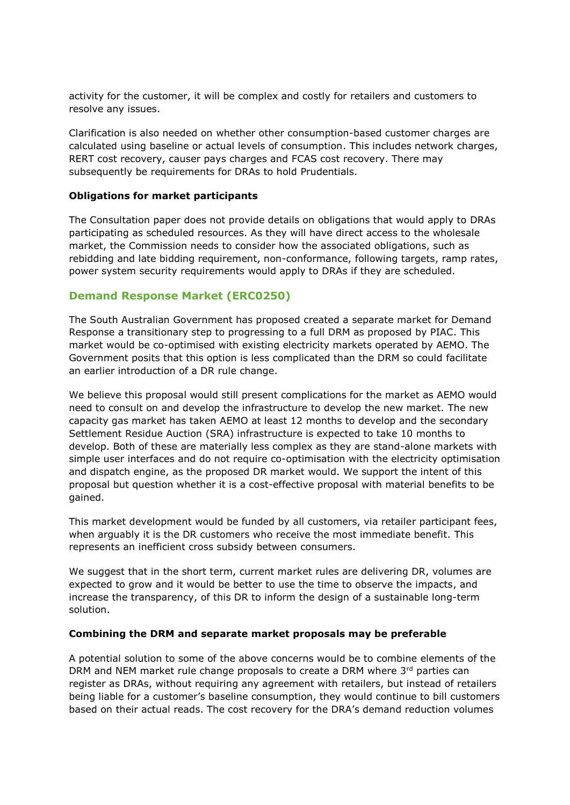activity for the customer, it will be complex and costly for retailers and customers to resolve any issues.

Clarification is also needed on whether other consumption-based customer charges are calculated using baseline or actual levels of consumption. This includes network charges, RERT cost recovery, causer pays charges and FCAS cost recovery. There may subsequently be requirements for DRAs to hold Prudentials.

#### **Obligations for market participants**

The Consultation paper does not provide details on obligations that would apply to DRAs participating as scheduled resources. As they will have direct access to the wholesale market, the Commission needs to consider how the associated obligations, such as rebidding and late bidding requirement, non-conformance, following targets, ramp rates, power system security requirements would apply to DRAs if they are scheduled.

# **Demand Response Market (ERC0250)**

The South Australian Government has proposed created a separate market for Demand Response a transitionary step to progressing to a full DRM as proposed by PIAC. This market would be co-optimised with existing electricity markets operated by AEMO. The Government posits that this option is less complicated than the DRM so could facilitate an earlier introduction of a DR rule change.

We believe this proposal would still present complications for the market as AEMO would need to consult on and develop the infrastructure to develop the new market. The new capacity gas market has taken AEMO at least 12 months to develop and the secondary Settlement Residue Auction (SRA) infrastructure is expected to take 10 months to develop. Both of these are materially less complex as they are stand-alone markets with simple user interfaces and do not require co-optimisation with the electricity optimisation and dispatch engine, as the proposed DR market would. We support the intent of this proposal but question whether it is a cost-effective proposal with material benefits to be gained.

This market development would be funded by all customers, via retailer participant fees, when arguably it is the DR customers who receive the most immediate benefit. This represents an inefficient cross subsidy between consumers.

We suggest that in the short term, current market rules are delivering DR, volumes are expected to grow and it would be better to use the time to observe the impacts, and increase the transparency, of this DR to inform the design of a sustainable long-term solution.

#### **Combining the DRM and separate market proposals may be preferable**

A potential solution to some of the above concerns would be to combine elements of the DRM and NEM market rule change proposals to create a DRM where  $3<sup>rd</sup>$  parties can register as DRAs, without requiring any agreement with retailers, but instead of retailers being liable for a customer's baseline consumption, they would continue to bill customers based on their actual reads. The cost recovery for the DRA's demand reduction volumes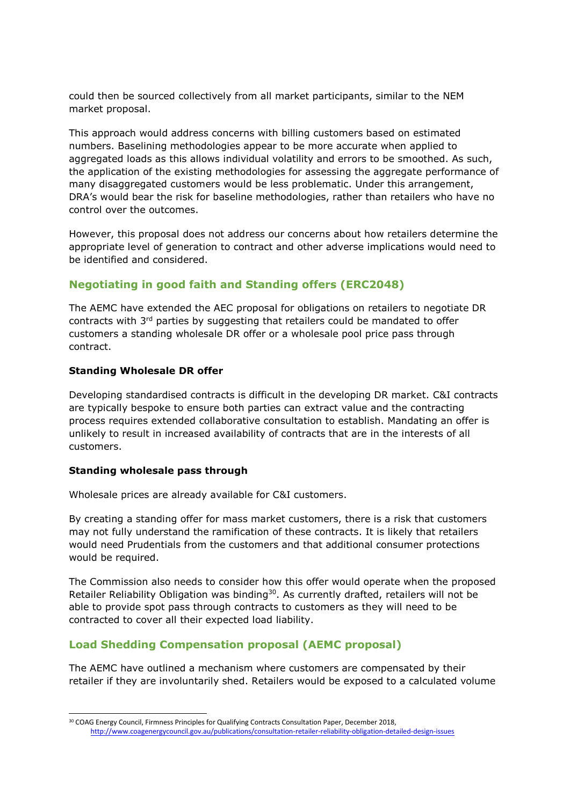could then be sourced collectively from all market participants, similar to the NEM market proposal.

This approach would address concerns with billing customers based on estimated numbers. Baselining methodologies appear to be more accurate when applied to aggregated loads as this allows individual volatility and errors to be smoothed. As such, the application of the existing methodologies for assessing the aggregate performance of many disaggregated customers would be less problematic. Under this arrangement, DRA's would bear the risk for baseline methodologies, rather than retailers who have no control over the outcomes.

However, this proposal does not address our concerns about how retailers determine the appropriate level of generation to contract and other adverse implications would need to be identified and considered.

# **Negotiating in good faith and Standing offers (ERC2048)**

The AEMC have extended the AEC proposal for obligations on retailers to negotiate DR contracts with 3rd parties by suggesting that retailers could be mandated to offer customers a standing wholesale DR offer or a wholesale pool price pass through contract.

#### **Standing Wholesale DR offer**

Developing standardised contracts is difficult in the developing DR market. C&I contracts are typically bespoke to ensure both parties can extract value and the contracting process requires extended collaborative consultation to establish. Mandating an offer is unlikely to result in increased availability of contracts that are in the interests of all customers.

#### **Standing wholesale pass through**

-

Wholesale prices are already available for C&I customers.

By creating a standing offer for mass market customers, there is a risk that customers may not fully understand the ramification of these contracts. It is likely that retailers would need Prudentials from the customers and that additional consumer protections would be required.

The Commission also needs to consider how this offer would operate when the proposed Retailer Reliability Obligation was binding<sup>30</sup>. As currently drafted, retailers will not be able to provide spot pass through contracts to customers as they will need to be contracted to cover all their expected load liability.

# **Load Shedding Compensation proposal (AEMC proposal)**

The AEMC have outlined a mechanism where customers are compensated by their retailer if they are involuntarily shed. Retailers would be exposed to a calculated volume

<sup>&</sup>lt;sup>30</sup> COAG Energy Council, Firmness Principles for Qualifying Contracts Consultation Paper, December 2018, <http://www.coagenergycouncil.gov.au/publications/consultation-retailer-reliability-obligation-detailed-design-issues>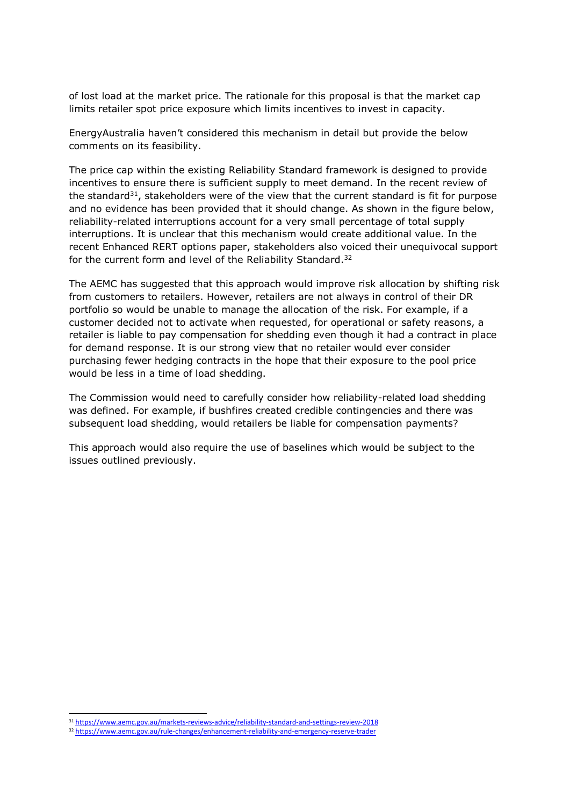of lost load at the market price. The rationale for this proposal is that the market cap limits retailer spot price exposure which limits incentives to invest in capacity.

EnergyAustralia haven't considered this mechanism in detail but provide the below comments on its feasibility.

The price cap within the existing Reliability Standard framework is designed to provide incentives to ensure there is sufficient supply to meet demand. In the recent review of the standard $31$ , stakeholders were of the view that the current standard is fit for purpose and no evidence has been provided that it should change. As shown in the figure below, reliability-related interruptions account for a very small percentage of total supply interruptions. It is unclear that this mechanism would create additional value. In the recent Enhanced RERT options paper, stakeholders also voiced their unequivocal support for the current form and level of the Reliability Standard.<sup>32</sup>

The AEMC has suggested that this approach would improve risk allocation by shifting risk from customers to retailers. However, retailers are not always in control of their DR portfolio so would be unable to manage the allocation of the risk. For example, if a customer decided not to activate when requested, for operational or safety reasons, a retailer is liable to pay compensation for shedding even though it had a contract in place for demand response. It is our strong view that no retailer would ever consider purchasing fewer hedging contracts in the hope that their exposure to the pool price would be less in a time of load shedding.

The Commission would need to carefully consider how reliability-related load shedding was defined. For example, if bushfires created credible contingencies and there was subsequent load shedding, would retailers be liable for compensation payments?

This approach would also require the use of baselines which would be subject to the issues outlined previously.

<sup>31</sup> <https://www.aemc.gov.au/markets-reviews-advice/reliability-standard-and-settings-review-2018>

<sup>32</sup> <https://www.aemc.gov.au/rule-changes/enhancement-reliability-and-emergency-reserve-trader>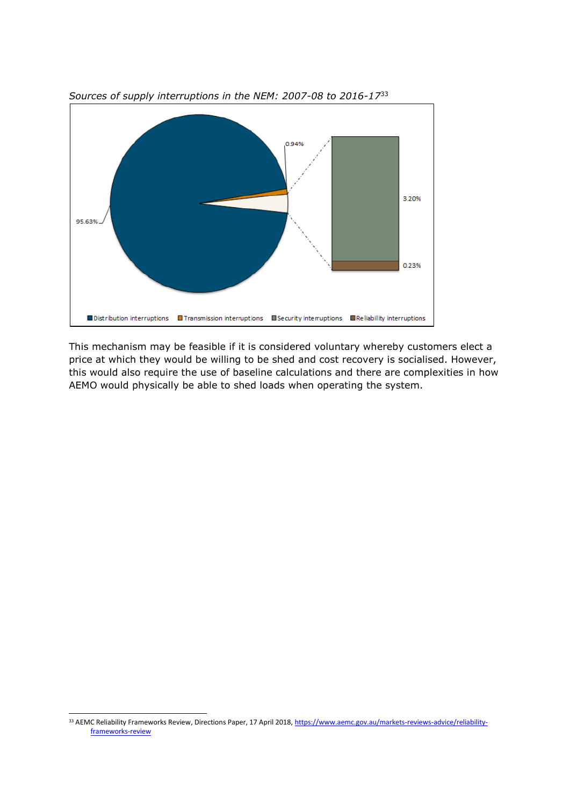

*Sources of supply interruptions in the NEM: 2007-08 to 2016-17*<sup>33</sup>

This mechanism may be feasible if it is considered voluntary whereby customers elect a price at which they would be willing to be shed and cost recovery is socialised. However, this would also require the use of baseline calculations and there are complexities in how AEMO would physically be able to shed loads when operating the system.

<sup>33</sup> AEMC Reliability Frameworks Review, Directions Paper, 17 April 2018[, https://www.aemc.gov.au/markets-reviews-advice/reliability](https://www.aemc.gov.au/markets-reviews-advice/reliability-frameworks-review)[frameworks-review](https://www.aemc.gov.au/markets-reviews-advice/reliability-frameworks-review)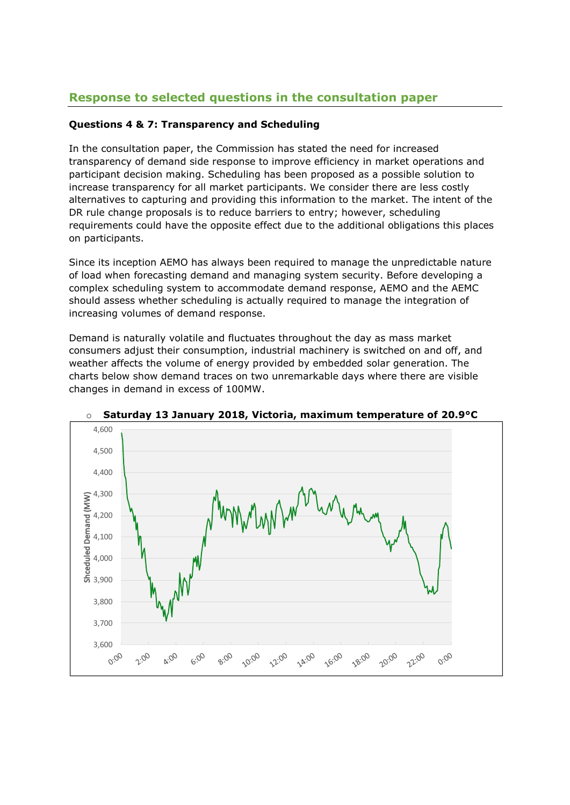# **Response to selected questions in the consultation paper**

# **Questions 4 & 7: Transparency and Scheduling**

In the consultation paper, the Commission has stated the need for increased transparency of demand side response to improve efficiency in market operations and participant decision making. Scheduling has been proposed as a possible solution to increase transparency for all market participants. We consider there are less costly alternatives to capturing and providing this information to the market. The intent of the DR rule change proposals is to reduce barriers to entry; however, scheduling requirements could have the opposite effect due to the additional obligations this places on participants.

Since its inception AEMO has always been required to manage the unpredictable nature of load when forecasting demand and managing system security. Before developing a complex scheduling system to accommodate demand response, AEMO and the AEMC should assess whether scheduling is actually required to manage the integration of increasing volumes of demand response.

Demand is naturally volatile and fluctuates throughout the day as mass market consumers adjust their consumption, industrial machinery is switched on and off, and weather affects the volume of energy provided by embedded solar generation. The charts below show demand traces on two unremarkable days where there are visible changes in demand in excess of 100MW.



o **Saturday 13 January 2018, Victoria, maximum temperature of 20.9°C**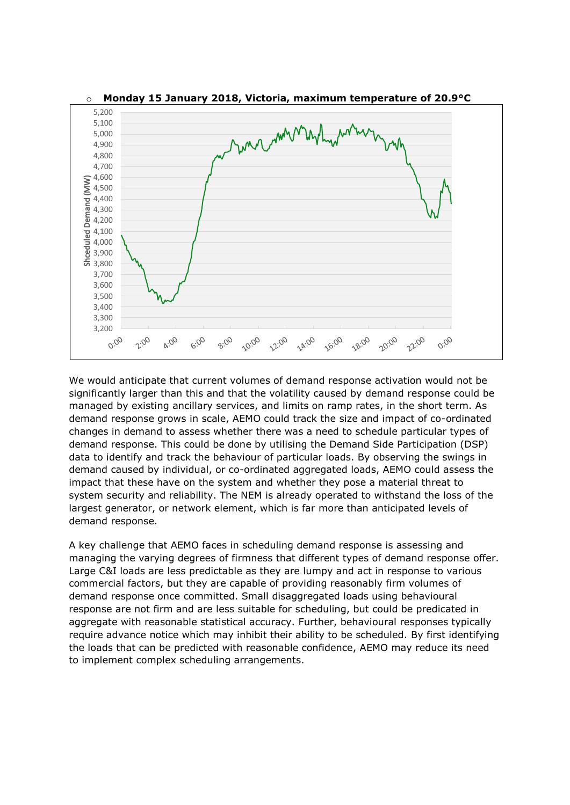

o **Monday 15 January 2018, Victoria, maximum temperature of 20.9°C**

We would anticipate that current volumes of demand response activation would not be significantly larger than this and that the volatility caused by demand response could be managed by existing ancillary services, and limits on ramp rates, in the short term. As demand response grows in scale, AEMO could track the size and impact of co-ordinated changes in demand to assess whether there was a need to schedule particular types of demand response. This could be done by utilising the Demand Side Participation (DSP) data to identify and track the behaviour of particular loads. By observing the swings in demand caused by individual, or co-ordinated aggregated loads, AEMO could assess the impact that these have on the system and whether they pose a material threat to system security and reliability. The NEM is already operated to withstand the loss of the largest generator, or network element, which is far more than anticipated levels of demand response.

A key challenge that AEMO faces in scheduling demand response is assessing and managing the varying degrees of firmness that different types of demand response offer. Large C&I loads are less predictable as they are lumpy and act in response to various commercial factors, but they are capable of providing reasonably firm volumes of demand response once committed. Small disaggregated loads using behavioural response are not firm and are less suitable for scheduling, but could be predicated in aggregate with reasonable statistical accuracy. Further, behavioural responses typically require advance notice which may inhibit their ability to be scheduled. By first identifying the loads that can be predicted with reasonable confidence, AEMO may reduce its need to implement complex scheduling arrangements.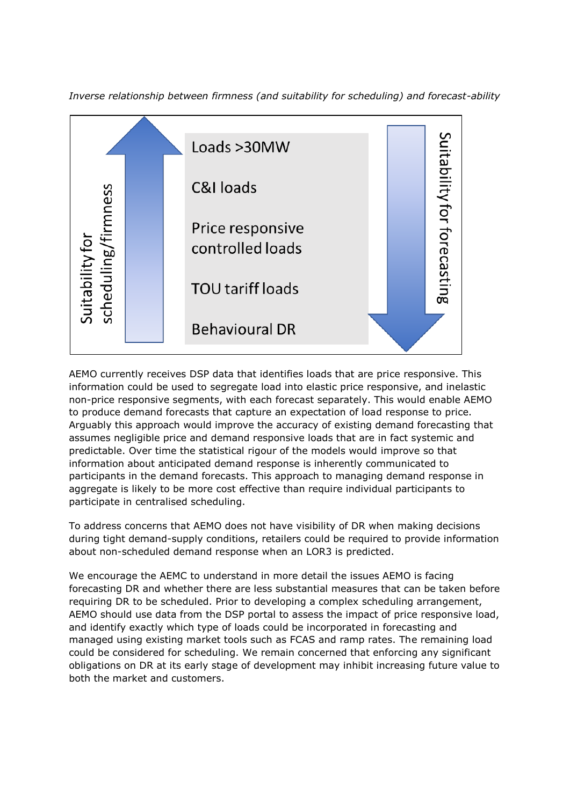



AEMO currently receives DSP data that identifies loads that are price responsive. This information could be used to segregate load into elastic price responsive, and inelastic non-price responsive segments, with each forecast separately. This would enable AEMO to produce demand forecasts that capture an expectation of load response to price. Arguably this approach would improve the accuracy of existing demand forecasting that assumes negligible price and demand responsive loads that are in fact systemic and predictable. Over time the statistical rigour of the models would improve so that information about anticipated demand response is inherently communicated to participants in the demand forecasts. This approach to managing demand response in aggregate is likely to be more cost effective than require individual participants to participate in centralised scheduling.

To address concerns that AEMO does not have visibility of DR when making decisions during tight demand-supply conditions, retailers could be required to provide information about non-scheduled demand response when an LOR3 is predicted.

We encourage the AEMC to understand in more detail the issues AEMO is facing forecasting DR and whether there are less substantial measures that can be taken before requiring DR to be scheduled. Prior to developing a complex scheduling arrangement, AEMO should use data from the DSP portal to assess the impact of price responsive load, and identify exactly which type of loads could be incorporated in forecasting and managed using existing market tools such as FCAS and ramp rates. The remaining load could be considered for scheduling. We remain concerned that enforcing any significant obligations on DR at its early stage of development may inhibit increasing future value to both the market and customers.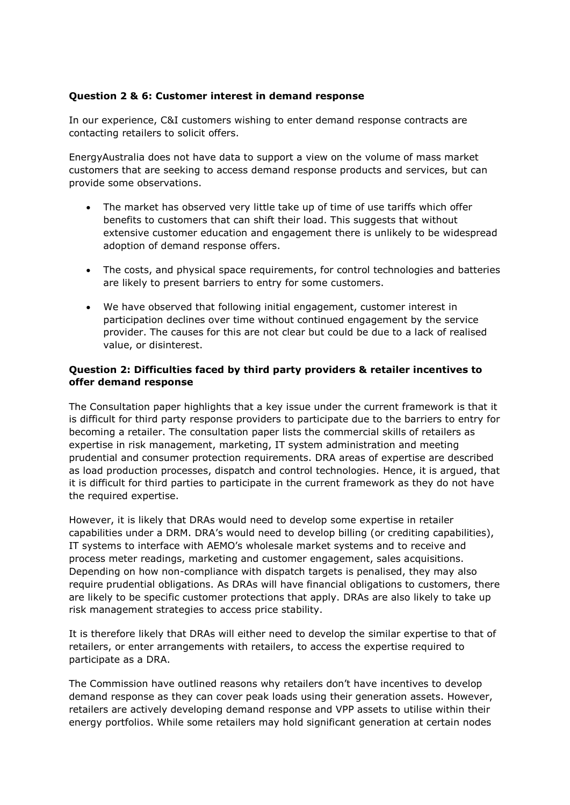## **Question 2 & 6: Customer interest in demand response**

In our experience, C&I customers wishing to enter demand response contracts are contacting retailers to solicit offers.

EnergyAustralia does not have data to support a view on the volume of mass market customers that are seeking to access demand response products and services, but can provide some observations.

- The market has observed very little take up of time of use tariffs which offer benefits to customers that can shift their load. This suggests that without extensive customer education and engagement there is unlikely to be widespread adoption of demand response offers.
- The costs, and physical space requirements, for control technologies and batteries are likely to present barriers to entry for some customers.
- We have observed that following initial engagement, customer interest in participation declines over time without continued engagement by the service provider. The causes for this are not clear but could be due to a lack of realised value, or disinterest.

## **Question 2: Difficulties faced by third party providers & retailer incentives to offer demand response**

The Consultation paper highlights that a key issue under the current framework is that it is difficult for third party response providers to participate due to the barriers to entry for becoming a retailer. The consultation paper lists the commercial skills of retailers as expertise in risk management, marketing, IT system administration and meeting prudential and consumer protection requirements. DRA areas of expertise are described as load production processes, dispatch and control technologies. Hence, it is argued, that it is difficult for third parties to participate in the current framework as they do not have the required expertise.

However, it is likely that DRAs would need to develop some expertise in retailer capabilities under a DRM. DRA's would need to develop billing (or crediting capabilities), IT systems to interface with AEMO's wholesale market systems and to receive and process meter readings, marketing and customer engagement, sales acquisitions. Depending on how non-compliance with dispatch targets is penalised, they may also require prudential obligations. As DRAs will have financial obligations to customers, there are likely to be specific customer protections that apply. DRAs are also likely to take up risk management strategies to access price stability.

It is therefore likely that DRAs will either need to develop the similar expertise to that of retailers, or enter arrangements with retailers, to access the expertise required to participate as a DRA.

The Commission have outlined reasons why retailers don't have incentives to develop demand response as they can cover peak loads using their generation assets. However, retailers are actively developing demand response and VPP assets to utilise within their energy portfolios. While some retailers may hold significant generation at certain nodes